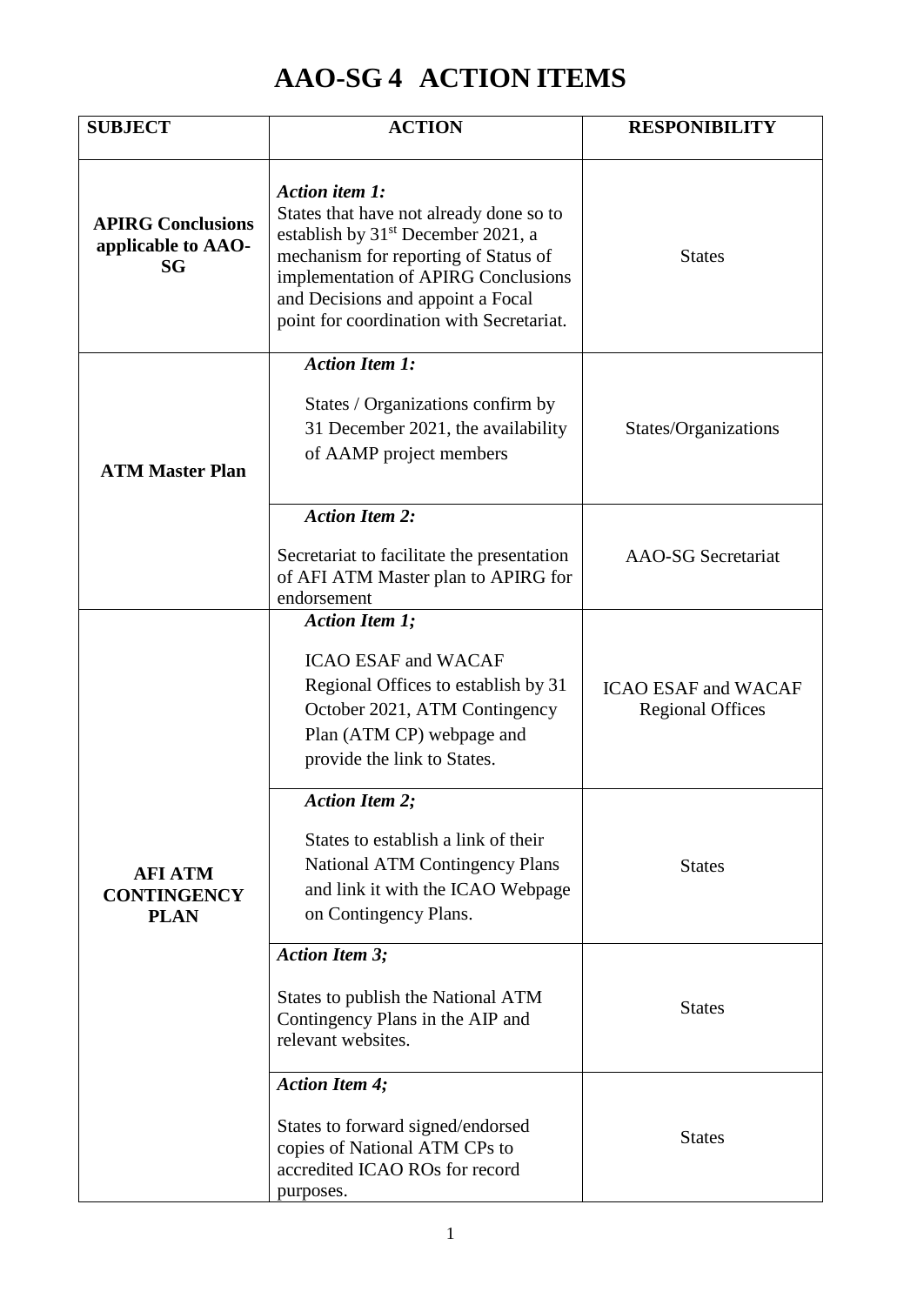## **AAO-SG 4 ACTION ITEMS**

| <b>SUBJECT</b>                                              | <b>ACTION</b>                                                                                                                                                                                                                                                               | <b>RESPONIBILITY</b>                                  |
|-------------------------------------------------------------|-----------------------------------------------------------------------------------------------------------------------------------------------------------------------------------------------------------------------------------------------------------------------------|-------------------------------------------------------|
| <b>APIRG Conclusions</b><br>applicable to AAO-<br><b>SG</b> | Action item 1:<br>States that have not already done so to<br>establish by 31 <sup>st</sup> December 2021, a<br>mechanism for reporting of Status of<br>implementation of APIRG Conclusions<br>and Decisions and appoint a Focal<br>point for coordination with Secretariat. | <b>States</b>                                         |
| <b>ATM Master Plan</b>                                      | <b>Action Item 1:</b><br>States / Organizations confirm by<br>31 December 2021, the availability<br>of AAMP project members                                                                                                                                                 | States/Organizations                                  |
|                                                             | <b>Action Item 2:</b><br>Secretariat to facilitate the presentation<br>of AFI ATM Master plan to APIRG for<br>endorsement                                                                                                                                                   | <b>AAO-SG</b> Secretariat                             |
| <b>AFI ATM</b><br><b>CONTINGENCY</b><br><b>PLAN</b>         | <b>Action Item 1;</b><br><b>ICAO ESAF and WACAF</b><br>Regional Offices to establish by 31<br>October 2021, ATM Contingency<br>Plan (ATM CP) webpage and<br>provide the link to States.                                                                                     | <b>ICAO ESAF and WACAF</b><br><b>Regional Offices</b> |
|                                                             | <b>Action Item 2:</b><br>States to establish a link of their<br><b>National ATM Contingency Plans</b><br>and link it with the ICAO Webpage<br>on Contingency Plans.                                                                                                         | <b>States</b>                                         |
|                                                             | <b>Action Item 3;</b><br>States to publish the National ATM<br>Contingency Plans in the AIP and<br>relevant websites.                                                                                                                                                       | <b>States</b>                                         |
|                                                             | <b>Action Item 4;</b><br>States to forward signed/endorsed<br>copies of National ATM CPs to<br>accredited ICAO ROs for record<br>purposes.                                                                                                                                  | <b>States</b>                                         |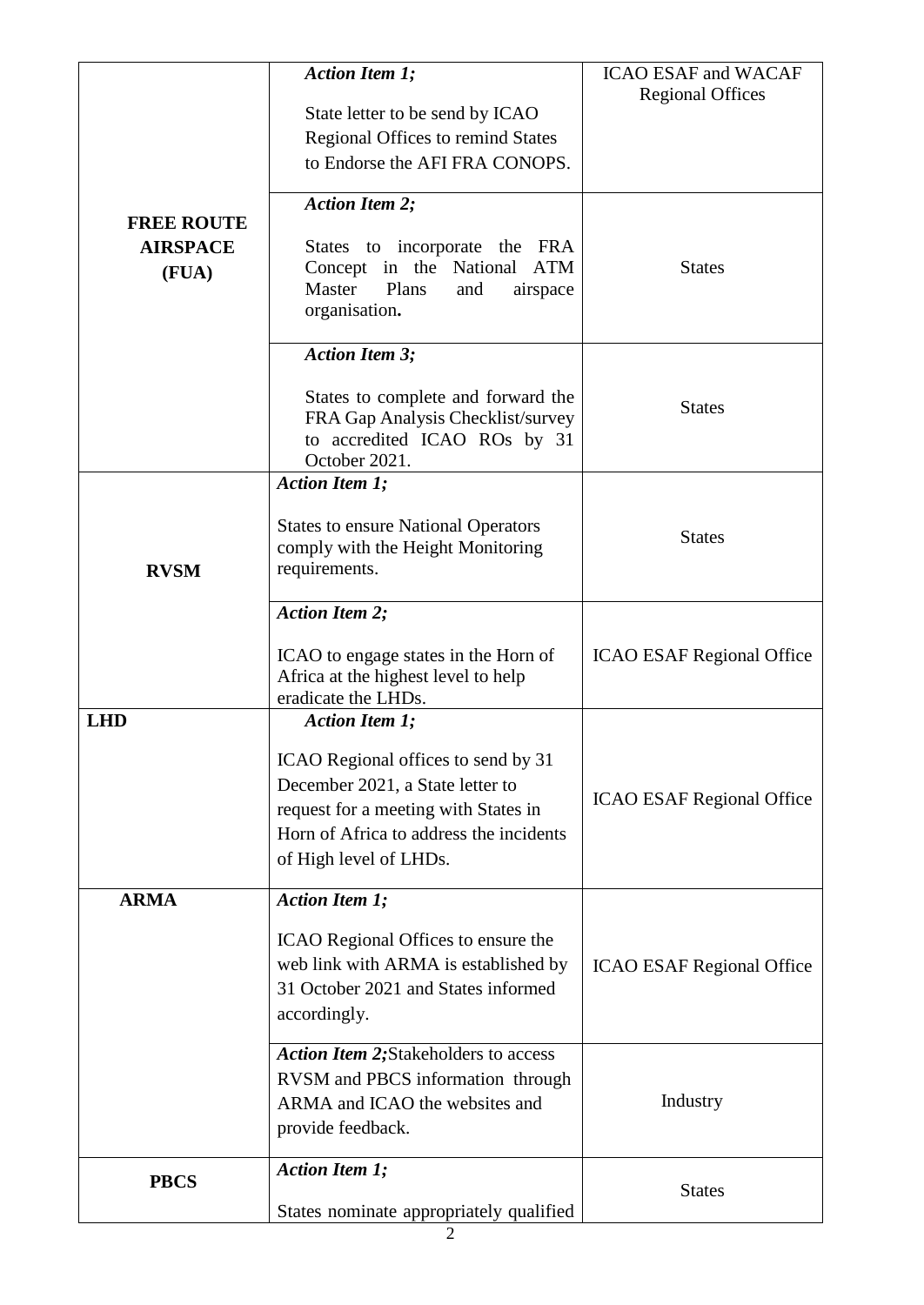| <b>FREE ROUTE</b><br><b>AIRSPACE</b><br>(FUA) | <b>Action Item 1;</b><br>State letter to be send by ICAO<br>Regional Offices to remind States<br>to Endorse the AFI FRA CONOPS.                                                                               | <b>ICAO ESAF and WACAF</b><br><b>Regional Offices</b> |
|-----------------------------------------------|---------------------------------------------------------------------------------------------------------------------------------------------------------------------------------------------------------------|-------------------------------------------------------|
|                                               | <b>Action Item 2;</b><br>States to incorporate the FRA<br>Concept in the National<br><b>ATM</b><br>Plans<br>Master<br>and<br>airspace<br>organisation.                                                        | <b>States</b>                                         |
|                                               | <b>Action Item 3;</b><br>States to complete and forward the<br>FRA Gap Analysis Checklist/survey<br>to accredited ICAO ROs by 31<br>October 2021.                                                             | <b>States</b>                                         |
| <b>RVSM</b>                                   | <b>Action Item 1;</b><br><b>States to ensure National Operators</b><br>comply with the Height Monitoring<br>requirements.                                                                                     | <b>States</b>                                         |
|                                               | <b>Action Item 2;</b><br>ICAO to engage states in the Horn of<br>Africa at the highest level to help<br>eradicate the LHDs.                                                                                   | <b>ICAO ESAF Regional Office</b>                      |
| <b>LHD</b>                                    | <b>Action Item 1;</b><br>ICAO Regional offices to send by 31<br>December 2021, a State letter to<br>request for a meeting with States in<br>Horn of Africa to address the incidents<br>of High level of LHDs. | <b>ICAO ESAF Regional Office</b>                      |
| <b>ARMA</b>                                   | <b>Action Item 1;</b><br>ICAO Regional Offices to ensure the<br>web link with ARMA is established by<br>31 October 2021 and States informed<br>accordingly.                                                   | <b>ICAO ESAF Regional Office</b>                      |
|                                               | <b>Action Item 2; Stakeholders to access</b><br>RVSM and PBCS information through<br>ARMA and ICAO the websites and<br>provide feedback.                                                                      | Industry                                              |
| <b>PBCS</b>                                   | <b>Action Item 1;</b><br>States nominate appropriately qualified                                                                                                                                              | <b>States</b>                                         |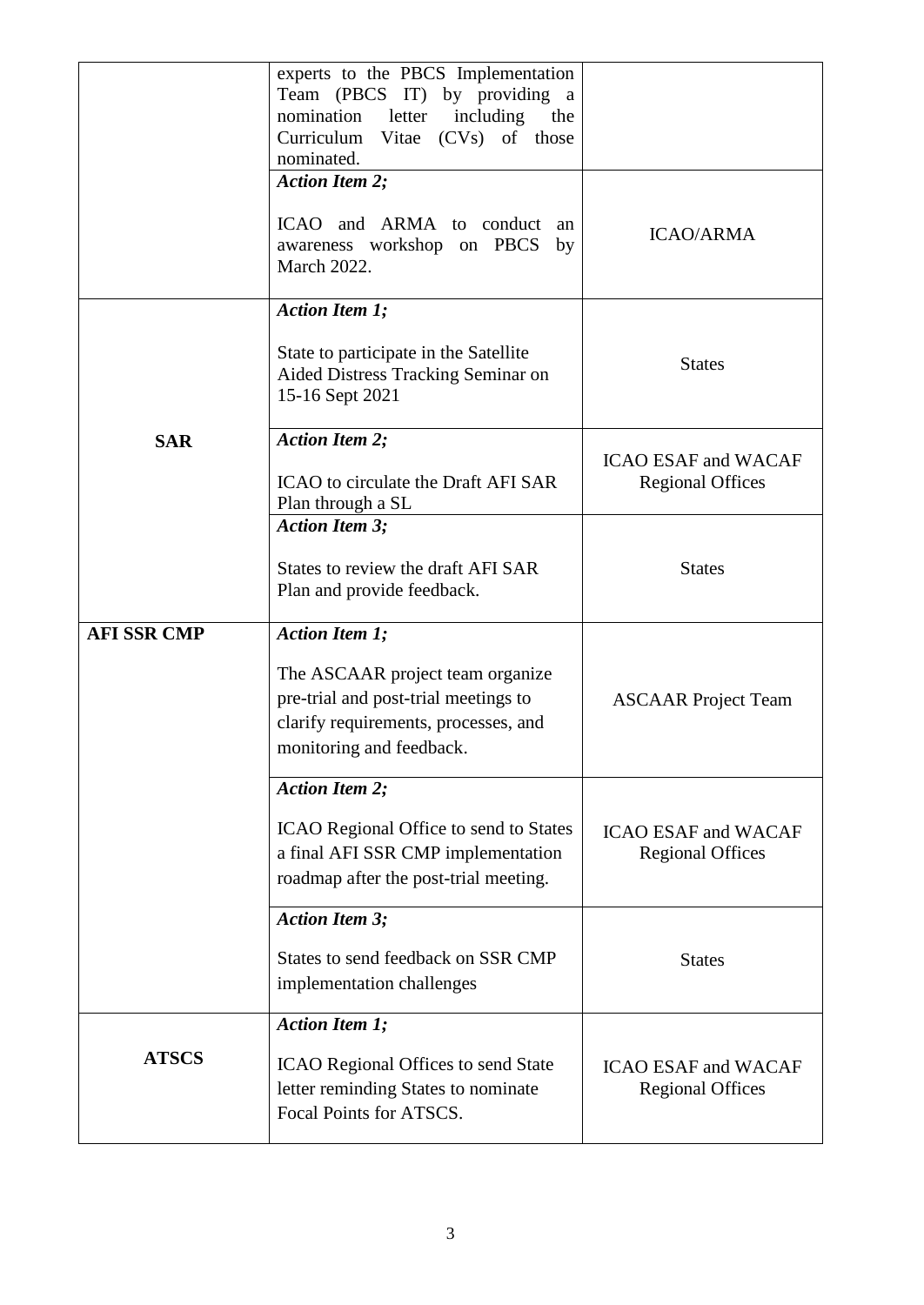|                    | experts to the PBCS Implementation<br>Team (PBCS IT) by providing a<br>including<br>nomination<br>letter<br>the<br>Curriculum Vitae (CVs) of those<br>nominated. |                                                       |
|--------------------|------------------------------------------------------------------------------------------------------------------------------------------------------------------|-------------------------------------------------------|
|                    | <b>Action Item 2;</b>                                                                                                                                            |                                                       |
|                    | ICAO and ARMA to conduct an<br>awareness workshop on PBCS by<br>March 2022.                                                                                      | <b>ICAO/ARMA</b>                                      |
|                    | <b>Action Item 1;</b>                                                                                                                                            |                                                       |
|                    | State to participate in the Satellite<br>Aided Distress Tracking Seminar on<br>15-16 Sept 2021                                                                   | <b>States</b>                                         |
| <b>SAR</b>         | <b>Action Item 2;</b>                                                                                                                                            |                                                       |
|                    | <b>ICAO</b> to circulate the Draft AFI SAR<br>Plan through a SL                                                                                                  | <b>ICAO ESAF and WACAF</b><br><b>Regional Offices</b> |
|                    | <b>Action Item 3;</b>                                                                                                                                            |                                                       |
|                    | States to review the draft AFI SAR<br>Plan and provide feedback.                                                                                                 | <b>States</b>                                         |
| <b>AFI SSR CMP</b> | <b>Action Item 1;</b>                                                                                                                                            |                                                       |
|                    | The ASCAAR project team organize<br>pre-trial and post-trial meetings to<br>clarify requirements, processes, and<br>monitoring and feedback.                     | <b>ASCAAR</b> Project Team                            |
|                    | <b>Action Item 2;</b>                                                                                                                                            |                                                       |
|                    | ICAO Regional Office to send to States<br>a final AFI SSR CMP implementation<br>roadmap after the post-trial meeting.                                            | <b>ICAO ESAF and WACAF</b><br><b>Regional Offices</b> |
|                    | <b>Action Item 3;</b>                                                                                                                                            |                                                       |
|                    | States to send feedback on SSR CMP<br>implementation challenges                                                                                                  | <b>States</b>                                         |
|                    | <b>Action Item 1;</b>                                                                                                                                            |                                                       |
| <b>ATSCS</b>       | <b>ICAO Regional Offices to send State</b><br>letter reminding States to nominate<br>Focal Points for ATSCS.                                                     | <b>ICAO ESAF and WACAF</b><br><b>Regional Offices</b> |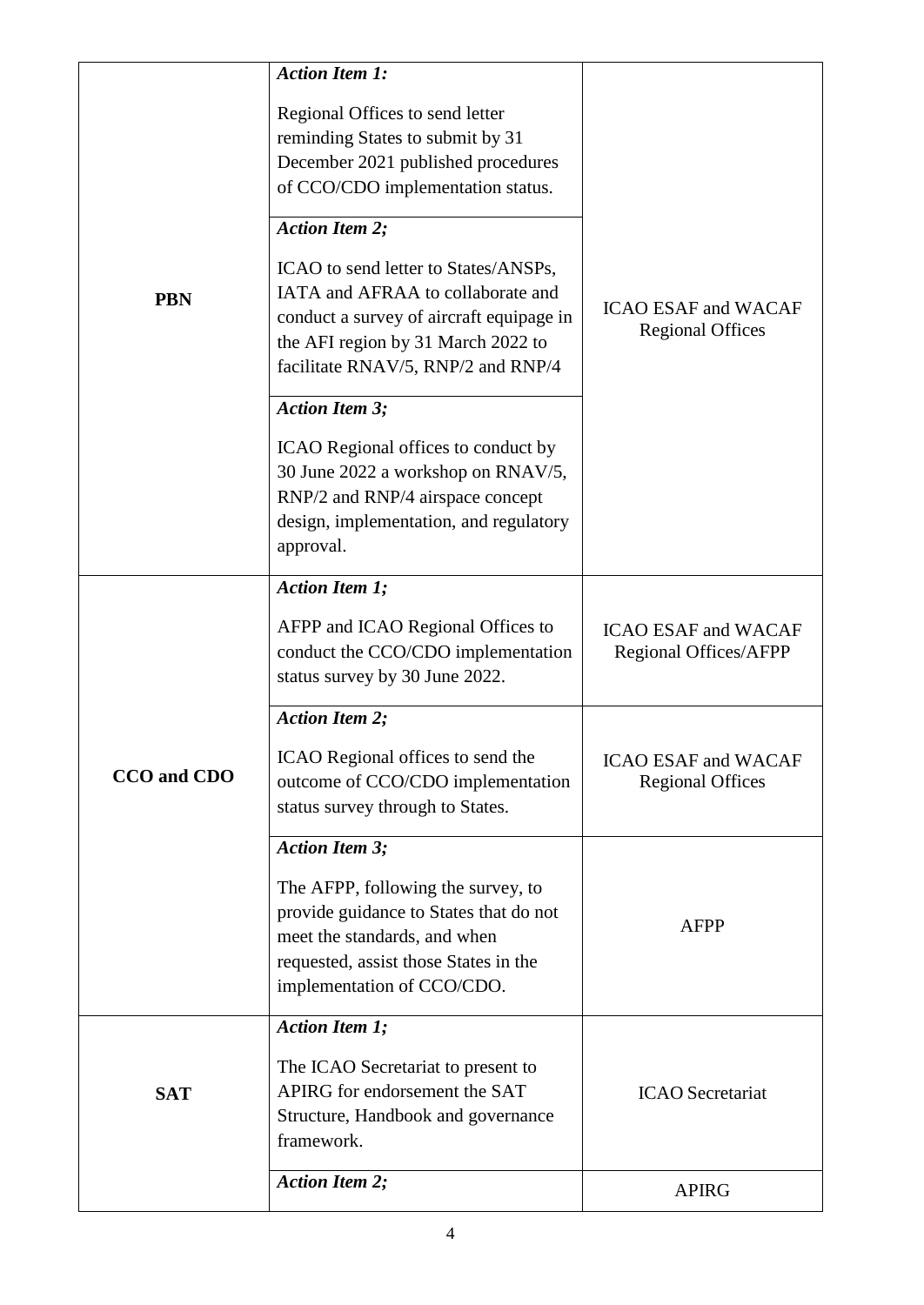|             | <b>Action Item 1:</b>                                                                                                                                                                             |                                                       |
|-------------|---------------------------------------------------------------------------------------------------------------------------------------------------------------------------------------------------|-------------------------------------------------------|
|             | Regional Offices to send letter                                                                                                                                                                   |                                                       |
|             | reminding States to submit by 31                                                                                                                                                                  |                                                       |
|             | December 2021 published procedures<br>of CCO/CDO implementation status.                                                                                                                           |                                                       |
| <b>PBN</b>  | <b>Action Item 2;</b>                                                                                                                                                                             |                                                       |
|             | ICAO to send letter to States/ANSPs,<br>IATA and AFRAA to collaborate and<br>conduct a survey of aircraft equipage in<br>the AFI region by 31 March 2022 to<br>facilitate RNAV/5, RNP/2 and RNP/4 | <b>ICAO ESAF and WACAF</b><br><b>Regional Offices</b> |
|             | <b>Action Item 3;</b>                                                                                                                                                                             |                                                       |
|             |                                                                                                                                                                                                   |                                                       |
|             | ICAO Regional offices to conduct by<br>30 June 2022 a workshop on RNAV/5,<br>RNP/2 and RNP/4 airspace concept<br>design, implementation, and regulatory<br>approval.                              |                                                       |
|             | <b>Action Item 1;</b>                                                                                                                                                                             |                                                       |
|             | AFPP and ICAO Regional Offices to<br>conduct the CCO/CDO implementation<br>status survey by 30 June 2022.                                                                                         | <b>ICAO ESAF and WACAF</b><br>Regional Offices/AFPP   |
|             | <b>Action Item 2;</b>                                                                                                                                                                             |                                                       |
| CCO and CDO | ICAO Regional offices to send the<br>outcome of CCO/CDO implementation<br>status survey through to States.                                                                                        | <b>ICAO ESAF and WACAF</b><br><b>Regional Offices</b> |
|             | <b>Action Item 3;</b>                                                                                                                                                                             |                                                       |
|             | The AFPP, following the survey, to<br>provide guidance to States that do not<br>meet the standards, and when<br>requested, assist those States in the<br>implementation of CCO/CDO.               | <b>AFPP</b>                                           |
|             | <b>Action Item 1;</b>                                                                                                                                                                             |                                                       |
| <b>SAT</b>  | The ICAO Secretariat to present to<br>APIRG for endorsement the SAT<br>Structure, Handbook and governance<br>framework.                                                                           | <b>ICAO</b> Secretariat                               |
|             | <b>Action Item 2;</b>                                                                                                                                                                             | <b>APIRG</b>                                          |
|             |                                                                                                                                                                                                   |                                                       |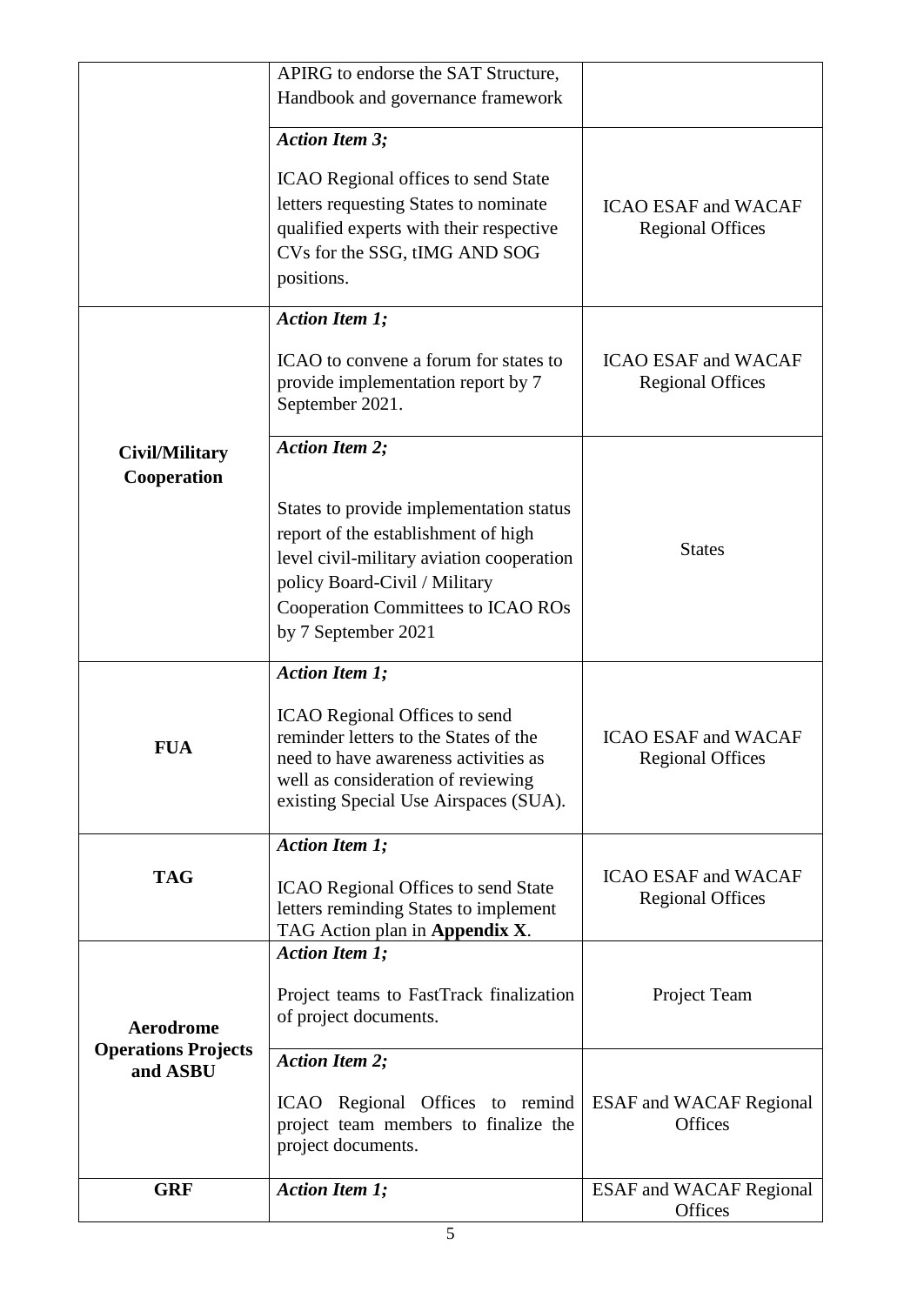|                                                | APIRG to endorse the SAT Structure,                                                                                                                                                                                       |                                                       |
|------------------------------------------------|---------------------------------------------------------------------------------------------------------------------------------------------------------------------------------------------------------------------------|-------------------------------------------------------|
|                                                | Handbook and governance framework                                                                                                                                                                                         |                                                       |
|                                                |                                                                                                                                                                                                                           |                                                       |
|                                                | <b>Action Item 3;</b>                                                                                                                                                                                                     |                                                       |
|                                                | <b>ICAO</b> Regional offices to send State                                                                                                                                                                                |                                                       |
|                                                | letters requesting States to nominate                                                                                                                                                                                     | <b>ICAO ESAF and WACAF</b>                            |
|                                                | qualified experts with their respective                                                                                                                                                                                   | <b>Regional Offices</b>                               |
|                                                | CVs for the SSG, tIMG AND SOG                                                                                                                                                                                             |                                                       |
|                                                | positions.                                                                                                                                                                                                                |                                                       |
|                                                |                                                                                                                                                                                                                           |                                                       |
|                                                | <b>Action Item 1;</b>                                                                                                                                                                                                     |                                                       |
|                                                | ICAO to convene a forum for states to<br>provide implementation report by 7<br>September 2021.                                                                                                                            | <b>ICAO ESAF and WACAF</b><br><b>Regional Offices</b> |
| <b>Civil/Military</b>                          | <b>Action Item 2;</b>                                                                                                                                                                                                     |                                                       |
| Cooperation                                    |                                                                                                                                                                                                                           |                                                       |
|                                                | States to provide implementation status<br>report of the establishment of high<br>level civil-military aviation cooperation<br>policy Board-Civil / Military<br>Cooperation Committees to ICAO ROs<br>by 7 September 2021 | <b>States</b>                                         |
|                                                |                                                                                                                                                                                                                           |                                                       |
|                                                | <b>Action Item 1;</b>                                                                                                                                                                                                     |                                                       |
| FUA                                            | <b>ICAO</b> Regional Offices to send<br>reminder letters to the States of the<br>need to have awareness activities as<br>well as consideration of reviewing<br>existing Special Use Airspaces (SUA).                      | <b>ICAO ESAF and WACAF</b><br><b>Regional Offices</b> |
|                                                | <b>Action Item 1;</b>                                                                                                                                                                                                     |                                                       |
| <b>TAG</b>                                     | <b>ICAO Regional Offices to send State</b><br>letters reminding States to implement<br>TAG Action plan in Appendix X.                                                                                                     | <b>ICAO ESAF and WACAF</b><br><b>Regional Offices</b> |
|                                                | <b>Action Item 1;</b>                                                                                                                                                                                                     |                                                       |
| <b>Aerodrome</b><br><b>Operations Projects</b> | Project teams to FastTrack finalization<br>of project documents.                                                                                                                                                          | Project Team                                          |
| and ASBU                                       | <b>Action Item 2;</b>                                                                                                                                                                                                     |                                                       |
|                                                | ICAO Regional Offices to remind<br>project team members to finalize the<br>project documents.                                                                                                                             | <b>ESAF</b> and WACAF Regional<br>Offices             |
| <b>GRF</b>                                     | <b>Action Item 1;</b>                                                                                                                                                                                                     | <b>ESAF</b> and WACAF Regional                        |
|                                                |                                                                                                                                                                                                                           | Offices                                               |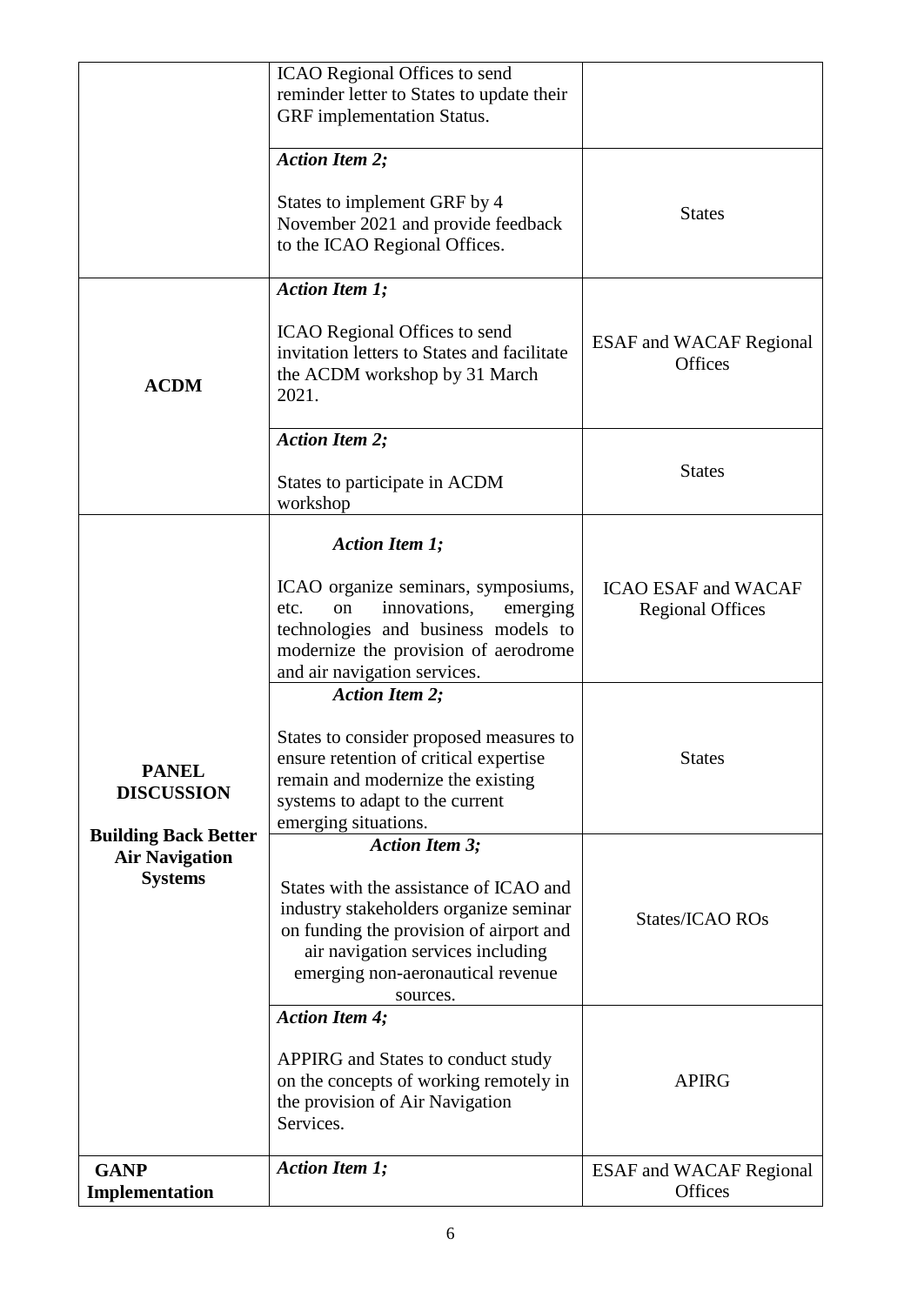|                                                  | ICAO Regional Offices to send<br>reminder letter to States to update their<br>GRF implementation Status.                                                                                                                                                                                                                            |                                                                        |
|--------------------------------------------------|-------------------------------------------------------------------------------------------------------------------------------------------------------------------------------------------------------------------------------------------------------------------------------------------------------------------------------------|------------------------------------------------------------------------|
|                                                  | <b>Action Item 2;</b><br>States to implement GRF by 4<br>November 2021 and provide feedback<br>to the ICAO Regional Offices.                                                                                                                                                                                                        | <b>States</b>                                                          |
| <b>ACDM</b>                                      | <b>Action Item 1;</b><br><b>ICAO</b> Regional Offices to send<br>invitation letters to States and facilitate<br>the ACDM workshop by 31 March<br>2021.                                                                                                                                                                              | <b>ESAF</b> and WACAF Regional<br><b>Offices</b>                       |
|                                                  | <b>Action Item 2;</b><br>States to participate in ACDM<br>workshop                                                                                                                                                                                                                                                                  | <b>States</b>                                                          |
| <b>PANEL</b>                                     | <b>Action Item 1;</b><br>ICAO organize seminars, symposiums,<br>innovations,<br>on<br>etc.<br>emerging<br>technologies and business models to<br>modernize the provision of aerodrome<br>and air navigation services.<br><b>Action Item 2;</b><br>States to consider proposed measures to<br>ensure retention of critical expertise | <b>ICAO ESAF and WACAF</b><br><b>Regional Offices</b><br><b>States</b> |
| <b>DISCUSSION</b><br><b>Building Back Better</b> | remain and modernize the existing<br>systems to adapt to the current<br>emerging situations.<br><b>Action Item 3;</b>                                                                                                                                                                                                               |                                                                        |
| <b>Air Navigation</b><br><b>Systems</b>          | States with the assistance of ICAO and<br>industry stakeholders organize seminar<br>on funding the provision of airport and<br>air navigation services including<br>emerging non-aeronautical revenue<br>sources.                                                                                                                   | States/ICAO ROs                                                        |
|                                                  | <b>Action Item 4;</b><br>APPIRG and States to conduct study<br>on the concepts of working remotely in<br>the provision of Air Navigation<br>Services.                                                                                                                                                                               | <b>APIRG</b>                                                           |
| <b>GANP</b><br>Implementation                    | <b>Action Item 1;</b>                                                                                                                                                                                                                                                                                                               | <b>ESAF</b> and WACAF Regional<br>Offices                              |